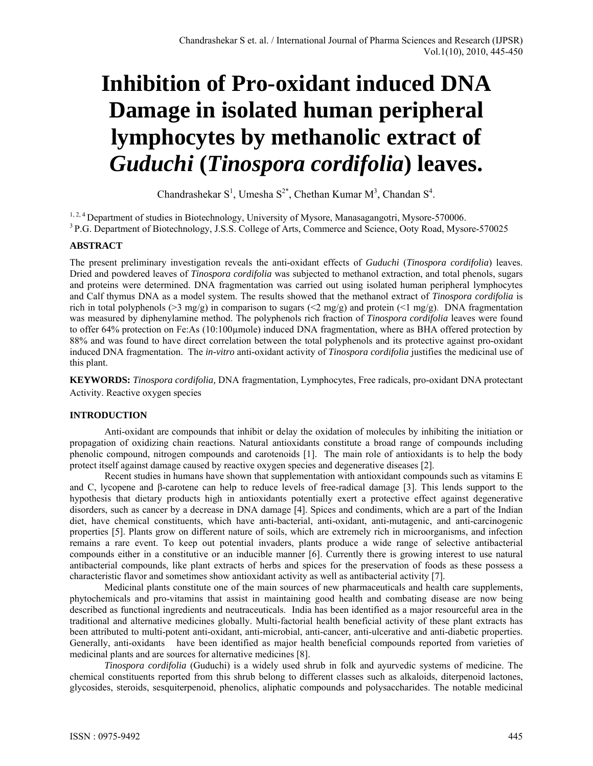# **Inhibition of Pro-oxidant induced DNA Damage in isolated human peripheral lymphocytes by methanolic extract of**  *Guduchi* **(***Tinospora cordifolia***) leaves.**

Chandrashekar  $S^1$ , Umesha  $S^{2*}$ , Chethan Kumar  $M^3$ , Chandan  $S^4$ .

<sup>1, 2, 4</sup> Department of studies in Biotechnology, University of Mysore, Manasagangotri, Mysore-570006.<br><sup>3</sup> P.G. Department of Biotechnology, J.S.S. College of Arts, Commerce and Science, Ooty Road, Mysore-570025

## **ABSTRACT**

The present preliminary investigation reveals the anti-oxidant effects of *Guduchi* (*Tinospora cordifolia*) leaves. Dried and powdered leaves of *Tinospora cordifolia* was subjected to methanol extraction, and total phenols, sugars and proteins were determined. DNA fragmentation was carried out using isolated human peripheral lymphocytes and Calf thymus DNA as a model system. The results showed that the methanol extract of *Tinospora cordifolia* is rich in total polyphenols (>3 mg/g) in comparison to sugars (<2 mg/g) and protein (<1 mg/g). DNA fragmentation was measured by diphenylamine method. The polyphenols rich fraction of *Tinospora cordifolia* leaves were found to offer 64% protection on Fe:As (10:100µmole) induced DNA fragmentation, where as BHA offered protection by 88% and was found to have direct correlation between the total polyphenols and its protective against pro-oxidant induced DNA fragmentation. The *in-vitro* anti-oxidant activity of *Tinospora cordifolia* justifies the medicinal use of this plant.

**KEYWORDS:** *Tinospora cordifolia,* DNA fragmentation, Lymphocytes, Free radicals, pro-oxidant DNA protectant Activity. Reactive oxygen species

# **INTRODUCTION**

Anti-oxidant are compounds that inhibit or delay the oxidation of molecules by inhibiting the initiation or propagation of oxidizing chain reactions. Natural antioxidants constitute a broad range of compounds including phenolic compound, nitrogen compounds and carotenoids [1]. The main role of antioxidants is to help the body protect itself against damage caused by reactive oxygen species and degenerative diseases [2].

Recent studies in humans have shown that supplementation with antioxidant compounds such as vitamins E and C, lycopene and β-carotene can help to reduce levels of free-radical damage [3]. This lends support to the hypothesis that dietary products high in antioxidants potentially exert a protective effect against degenerative disorders, such as cancer by a decrease in DNA damage [4]. Spices and condiments, which are a part of the Indian diet, have chemical constituents, which have anti-bacterial, anti-oxidant, anti-mutagenic, and anti-carcinogenic properties [5]. Plants grow on different nature of soils, which are extremely rich in microorganisms, and infection remains a rare event. To keep out potential invaders, plants produce a wide range of selective antibacterial compounds either in a constitutive or an inducible manner [6]. Currently there is growing interest to use natural antibacterial compounds, like plant extracts of herbs and spices for the preservation of foods as these possess a characteristic flavor and sometimes show antioxidant activity as well as antibacterial activity [7].

Medicinal plants constitute one of the main sources of new pharmaceuticals and health care supplements, phytochemicals and pro-vitamins that assist in maintaining good health and combating disease are now being described as functional ingredients and neutraceuticals. India has been identified as a major resourceful area in the traditional and alternative medicines globally. Multi-factorial health beneficial activity of these plant extracts has been attributed to multi-potent anti-oxidant, anti-microbial, anti-cancer, anti-ulcerative and anti-diabetic properties. Generally, anti-oxidants have been identified as major health beneficial compounds reported from varieties of medicinal plants and are sources for alternative medicines [8].

*Tinospora cordifolia* (Guduchi) is a widely used shrub in folk and ayurvedic systems of medicine. The chemical constituents reported from this shrub belong to different classes such as alkaloids, diterpenoid lactones, glycosides, steroids, sesquiterpenoid, phenolics, aliphatic compounds and polysaccharides. The notable medicinal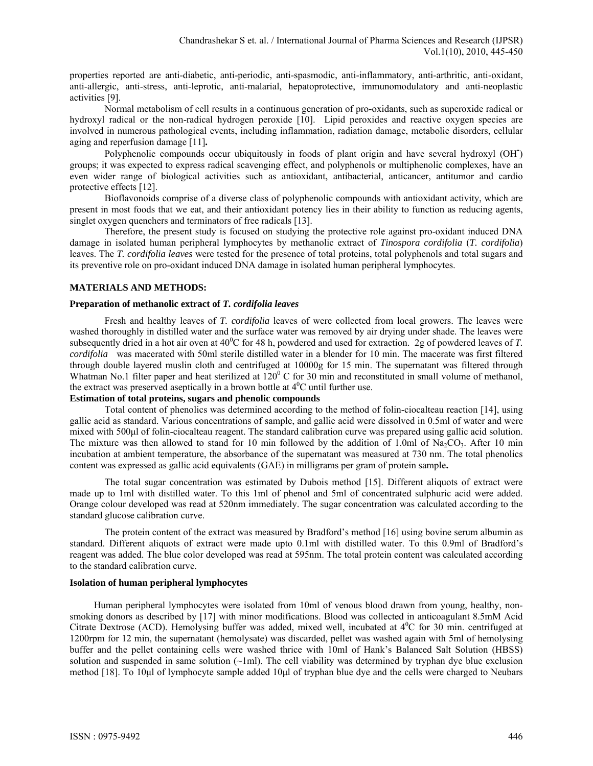properties reported are anti-diabetic, anti-periodic, anti-spasmodic, anti-inflammatory, anti-arthritic, anti-oxidant, anti-allergic, anti-stress, anti-leprotic, anti-malarial, hepatoprotective, immunomodulatory and anti-neoplastic activities [9].

Normal metabolism of cell results in a continuous generation of pro-oxidants, such as superoxide radical or hydroxyl radical or the non-radical hydrogen peroxide [10]. Lipid peroxides and reactive oxygen species are involved in numerous pathological events, including inflammation, radiation damage, metabolic disorders, cellular aging and reperfusion damage [11]**.**

Polyphenolic compounds occur ubiquitously in foods of plant origin and have several hydroxyl (OH**-** ) groups; it was expected to express radical scavenging effect, and polyphenols or multiphenolic complexes, have an even wider range of biological activities such as antioxidant, antibacterial, anticancer, antitumor and cardio protective effects [12].

Bioflavonoids comprise of a diverse class of polyphenolic compounds with antioxidant activity, which are present in most foods that we eat, and their antioxidant potency lies in their ability to function as reducing agents, singlet oxygen quenchers and terminators of free radicals [13].

Therefore, the present study is focused on studying the protective role against pro-oxidant induced DNA damage in isolated human peripheral lymphocytes by methanolic extract of *Tinospora cordifolia* (*T. cordifolia*) leaves. The *T. cordifolia leaves* were tested for the presence of total proteins, total polyphenols and total sugars and its preventive role on pro-oxidant induced DNA damage in isolated human peripheral lymphocytes.

## **MATERIALS AND METHODS:**

## **Preparation of methanolic extract of** *T. cordifolia leaves*

Fresh and healthy leaves of *T. cordifolia* leaves of were collected from local growers. The leaves were washed thoroughly in distilled water and the surface water was removed by air drying under shade. The leaves were subsequently dried in a hot air oven at  $40^{\circ}$ C for 48 h, powdered and used for extraction. 2g of powdered leaves of *T*. *cordifolia* was macerated with 50ml sterile distilled water in a blender for 10 min. The macerate was first filtered through double layered muslin cloth and centrifuged at 10000g for 15 min. The supernatant was filtered through Whatman No.1 filter paper and heat sterilized at  $120^{\circ}$  C for 30 min and reconstituted in small volume of methanol, the extract was preserved aseptically in a brown bottle at  $4^0C$  until further use.

# **Estimation of total proteins, sugars and phenolic compounds**

Total content of phenolics was determined according to the method of folin-ciocalteau reaction [14], using gallic acid as standard. Various concentrations of sample, and gallic acid were dissolved in 0.5ml of water and were mixed with 500µl of folin-ciocalteau reagent. The standard calibration curve was prepared using gallic acid solution. The mixture was then allowed to stand for 10 min followed by the addition of 1.0ml of Na<sub>2</sub>CO<sub>3</sub>. After 10 min incubation at ambient temperature, the absorbance of the supernatant was measured at 730 nm. The total phenolics content was expressed as gallic acid equivalents (GAE) in milligrams per gram of protein sample**.**

The total sugar concentration was estimated by Dubois method [15]. Different aliquots of extract were made up to 1ml with distilled water. To this 1ml of phenol and 5ml of concentrated sulphuric acid were added. Orange colour developed was read at 520nm immediately. The sugar concentration was calculated according to the standard glucose calibration curve.

 The protein content of the extract was measured by Bradford's method [16] using bovine serum albumin as standard. Different aliquots of extract were made upto 0.1ml with distilled water. To this 0.9ml of Bradford's reagent was added. The blue color developed was read at 595nm. The total protein content was calculated according to the standard calibration curve.

## **Isolation of human peripheral lymphocytes**

 Human peripheral lymphocytes were isolated from 10ml of venous blood drawn from young, healthy, nonsmoking donors as described by [17] with minor modifications. Blood was collected in anticoagulant 8.5mM Acid Citrate Dextrose (ACD). Hemolysing buffer was added, mixed well, incubated at 4<sup>0</sup>C for 30 min. centrifuged at 1200rpm for 12 min, the supernatant (hemolysate) was discarded, pellet was washed again with 5ml of hemolysing buffer and the pellet containing cells were washed thrice with 10ml of Hank's Balanced Salt Solution (HBSS) solution and suspended in same solution  $(\sim 1$ ml). The cell viability was determined by tryphan dye blue exclusion method [18]. To 10μl of lymphocyte sample added 10μl of tryphan blue dye and the cells were charged to Neubars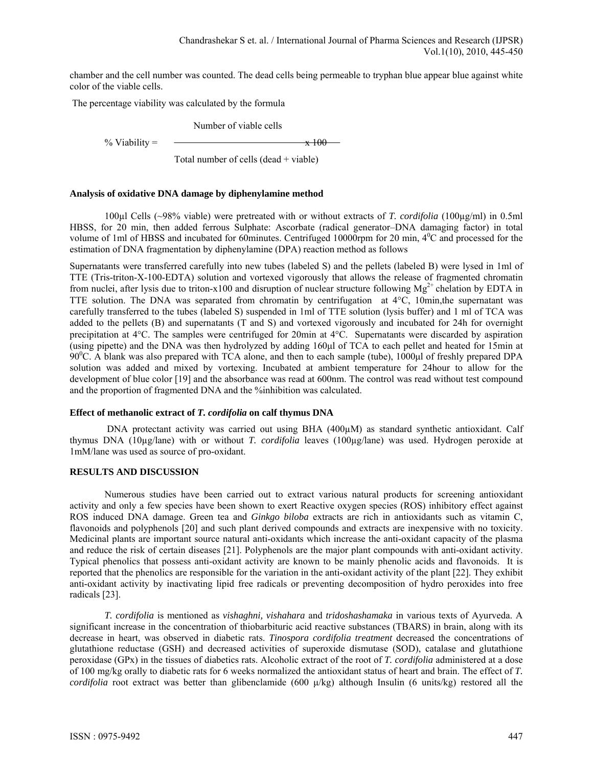chamber and the cell number was counted. The dead cells being permeable to tryphan blue appear blue against white color of the viable cells.

The percentage viability was calculated by the formula

Number of viable cells

% Viability =  $\frac{\ }{x}$  100

Total number of cells (dead + viable)

#### **Analysis of oxidative DNA damage by diphenylamine method**

100µl Cells (~98% viable) were pretreated with or without extracts of *T. cordifolia* (100µg/ml) in 0.5ml HBSS, for 20 min, then added ferrous Sulphate: Ascorbate (radical generator–DNA damaging factor) in total volume of 1ml of HBSS and incubated for 60minutes. Centrifuged 10000rpm for 20 min,  $4^{\circ}$ C and processed for the estimation of DNA fragmentation by diphenylamine (DPA) reaction method as follows

Supernatants were transferred carefully into new tubes (labeled S) and the pellets (labeled B) were lysed in 1ml of TTE (Tris-triton-X-100-EDTA) solution and vortexed vigorously that allows the release of fragmented chromatin from nuclei, after lysis due to triton-x100 and disruption of nuclear structure following  $Mg^{2+}$  chelation by EDTA in TTE solution. The DNA was separated from chromatin by centrifugation at  $4^{\circ}C$ , 10min, the supernatant was carefully transferred to the tubes (labeled S) suspended in 1ml of TTE solution (lysis buffer) and 1 ml of TCA was added to the pellets (B) and supernatants (T and S) and vortexed vigorously and incubated for 24h for overnight precipitation at 4C. The samples were centrifuged for 20min at 4C. Supernatants were discarded by aspiration (using pipette) and the DNA was then hydrolyzed by adding 160μl of TCA to each pellet and heated for 15min at 90<sup>0</sup>C. A blank was also prepared with TCA alone, and then to each sample (tube), 1000μl of freshly prepared DPA solution was added and mixed by vortexing. Incubated at ambient temperature for 24hour to allow for the development of blue color [19] and the absorbance was read at 600nm. The control was read without test compound and the proportion of fragmented DNA and the %inhibition was calculated.

#### **Effect of methanolic extract of** *T. cordifolia* **on calf thymus DNA**

 DNA protectant activity was carried out using BHA (400µM) as standard synthetic antioxidant. Calf thymus DNA (10µg/lane) with or without *T. cordifolia* leaves (100µg/lane) was used. Hydrogen peroxide at 1mM/lane was used as source of pro-oxidant.

#### **RESULTS AND DISCUSSION**

Numerous studies have been carried out to extract various natural products for screening antioxidant activity and only a few species have been shown to exert Reactive oxygen species (ROS) inhibitory effect against ROS induced DNA damage. Green tea and *Ginkgo biloba* extracts are rich in antioxidants such as vitamin C, flavonoids and polyphenols [20] and such plant derived compounds and extracts are inexpensive with no toxicity. Medicinal plants are important source natural anti-oxidants which increase the anti-oxidant capacity of the plasma and reduce the risk of certain diseases [21]. Polyphenols are the major plant compounds with anti-oxidant activity. Typical phenolics that possess anti-oxidant activity are known to be mainly phenolic acids and flavonoids. It is reported that the phenolics are responsible for the variation in the anti-oxidant activity of the plant [22]. They exhibit anti-oxidant activity by inactivating lipid free radicals or preventing decomposition of hydro peroxides into free radicals [23].

*T. cordifolia* is mentioned as *vishaghni, vishahara* and *tridoshashamaka* in various texts of Ayurveda. A significant increase in the concentration of thiobarbituric acid reactive substances (TBARS) in brain, along with its decrease in heart, was observed in diabetic rats. *Tinospora cordifolia treatment* decreased the concentrations of glutathione reductase (GSH) and decreased activities of superoxide dismutase (SOD), catalase and glutathione peroxidase (GPx) in the tissues of diabetics rats. Alcoholic extract of the root of *T. cordifolia* administered at a dose of 100 mg/kg orally to diabetic rats for 6 weeks normalized the antioxidant status of heart and brain. The effect of *T. cordifolia* root extract was better than glibenclamide (600 μ/kg) although Insulin (6 units/kg) restored all the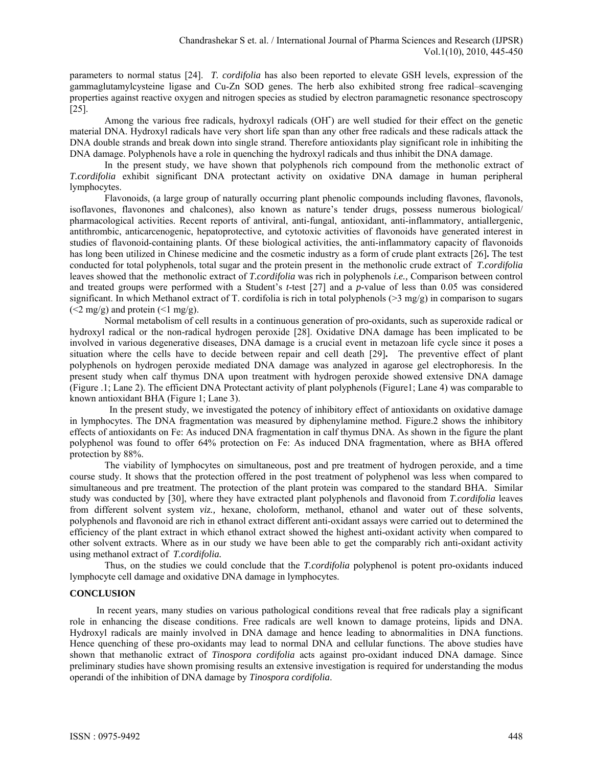parameters to normal status [24]. *T. cordifolia* has also been reported to elevate GSH levels, expression of the gammaglutamylcysteine ligase and Cu-Zn SOD genes. The herb also exhibited strong free radical–scavenging properties against reactive oxygen and nitrogen species as studied by electron paramagnetic resonance spectroscopy [25].

Among the various free radicals, hydroxyl radicals (OH**-** ) are well studied for their effect on the genetic material DNA. Hydroxyl radicals have very short life span than any other free radicals and these radicals attack the DNA double strands and break down into single strand. Therefore antioxidants play significant role in inhibiting the DNA damage. Polyphenols have a role in quenching the hydroxyl radicals and thus inhibit the DNA damage.

 In the present study, we have shown that polyphenols rich compound from the methonolic extract of *T.cordifolia* exhibit significant DNA protectant activity on oxidative DNA damage in human peripheral lymphocytes.

Flavonoids, (a large group of naturally occurring plant phenolic compounds including flavones, flavonols, isoflavones, flavonones and chalcones), also known as nature's tender drugs, possess numerous biological/ pharmacological activities. Recent reports of antiviral, anti-fungal, antioxidant, anti-inflammatory, antiallergenic, antithrombic, anticarcenogenic, hepatoprotective, and cytotoxic activities of flavonoids have generated interest in studies of flavonoid-containing plants. Of these biological activities, the anti-inflammatory capacity of flavonoids has long been utilized in Chinese medicine and the cosmetic industry as a form of crude plant extracts [26]**.** The test conducted for total polyphenols, total sugar and the protein present in the methonolic crude extract of *T.cordifolia*  leaves showed that the methonolic extract of *T.cordifolia* was rich in polyphenols *i.e.,* Comparison between control and treated groups were performed with a Student's *t*-test [27] and a *p*-value of less than 0.05 was considered significant. In which Methanol extract of T. cordifolia is rich in total polyphenols (>3 mg/g) in comparison to sugars  $(\leq 2 \text{ mg/g})$  and protein  $(\leq 1 \text{ mg/g})$ .

 Normal metabolism of cell results in a continuous generation of pro-oxidants, such as superoxide radical or hydroxyl radical or the non-radical hydrogen peroxide [28]. Oxidative DNA damage has been implicated to be involved in various degenerative diseases, DNA damage is a crucial event in metazoan life cycle since it poses a situation where the cells have to decide between repair and cell death [29]**.** The preventive effect of plant polyphenols on hydrogen peroxide mediated DNA damage was analyzed in agarose gel electrophoresis. In the present study when calf thymus DNA upon treatment with hydrogen peroxide showed extensive DNA damage (Figure .1; Lane 2). The efficient DNA Protectant activity of plant polyphenols (Figure1; Lane 4) was comparable to known antioxidant BHA (Figure 1; Lane 3).

 In the present study, we investigated the potency of inhibitory effect of antioxidants on oxidative damage in lymphocytes. The DNA fragmentation was measured by diphenylamine method. Figure.2 shows the inhibitory effects of antioxidants on Fe: As induced DNA fragmentation in calf thymus DNA. As shown in the figure the plant polyphenol was found to offer 64% protection on Fe: As induced DNA fragmentation, where as BHA offered protection by 88%.

 The viability of lymphocytes on simultaneous, post and pre treatment of hydrogen peroxide, and a time course study. It shows that the protection offered in the post treatment of polyphenol was less when compared to simultaneous and pre treatment. The protection of the plant protein was compared to the standard BHA. Similar study was conducted by [30], where they have extracted plant polyphenols and flavonoid from *T.cordifolia* leaves from different solvent system *viz.,* hexane, choloform, methanol, ethanol and water out of these solvents, polyphenols and flavonoid are rich in ethanol extract different anti-oxidant assays were carried out to determined the efficiency of the plant extract in which ethanol extract showed the highest anti-oxidant activity when compared to other solvent extracts. Where as in our study we have been able to get the comparably rich anti-oxidant activity using methanol extract of *T.cordifolia.*

Thus, on the studies we could conclude that the *T.cordifolia* polyphenol is potent pro-oxidants induced lymphocyte cell damage and oxidative DNA damage in lymphocytes.

## **CONCLUSION**

 In recent years, many studies on various pathological conditions reveal that free radicals play a significant role in enhancing the disease conditions. Free radicals are well known to damage proteins, lipids and DNA. Hydroxyl radicals are mainly involved in DNA damage and hence leading to abnormalities in DNA functions. Hence quenching of these pro-oxidants may lead to normal DNA and cellular functions. The above studies have shown that methanolic extract of *Tinospora cordifolia* acts against pro-oxidant induced DNA damage. Since preliminary studies have shown promising results an extensive investigation is required for understanding the modus operandi of the inhibition of DNA damage by *Tinospora cordifolia*.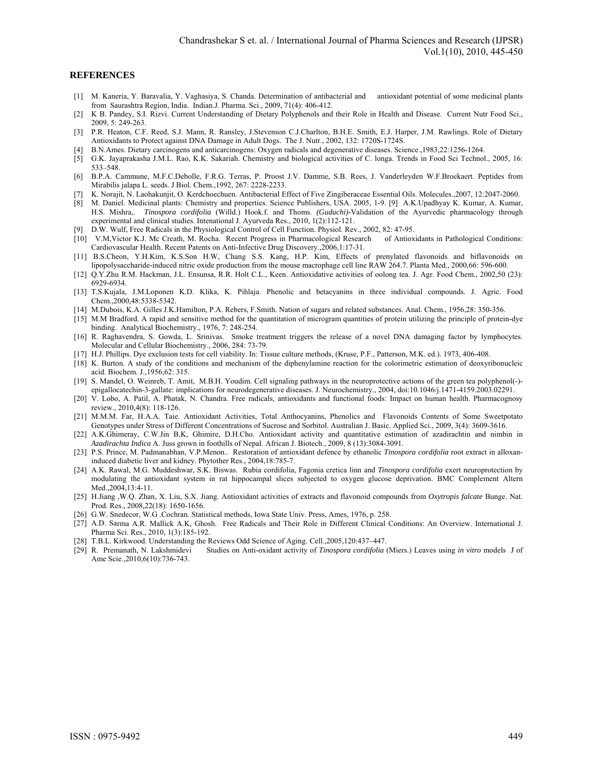#### **REFERENCES**

- [1] M. Kaneria, Y. Baravalia, Y. Vaghasiya, S. Chanda. Determination of antibacterial and antioxidant potential of some medicinal plants from Saurashtra Region, India. Indian.J. Pharma. Sci., 2009, 71(4): 406-412.
- [2] K B. Pandey, S.I. Rizvi. Current Understanding of Dietary Polyphenols and their Role in Health and Disease. Current Nutr Food Sci., 2009, 5: 249-263.
- [3] P.R. Heaton, C.F. Reed, S.J. Mann, R. Ransley, J.Stevenson C.J.Charlton, B.H.E. Smith, E.J. Harper, J.M. Rawlings. Role of Dietary Antioxidants to Protect against DNA Damage in Adult Dogs. The J. Nutr., 2002, 132: 1720S-1724S.
- [4] B.N.Ames. Dietary carcinogens and anticarcinogens: Oxygen radicals and degenerative diseases. Science.,1983,22:1256-1264.
- [5] G.K. Jayaprakasha J.M.L. Rao, K.K. Sakariah. Chemistry and biological activities of C. longa. Trends in Food Sci Technol., 2005, 16: 533–548.
- [6] B.P.A. Cammune, M.F.C.Debolle, F.R.G. Terras, P. Proost J.V. Damme, S.B. Rees, J. Vanderleyden W.F.Broekaert. Peptides from Mirabilis jalapa L. seeds. J Biol*.* Chem.,1992, 267: 2228-2233.
- [7] K. Norajit, N. Laohakunjit, O. Kerdchoechuen. Antibacterial Effect of Five Zingiberaceae Essential Oils. Molecules.,2007, 12:2047-2060.
- [8] M. Daniel. Medicinal plants: Chemistry and properties. Science Publishers, USA. 2005, 1-9. [9] A.K.Upadhyay K. Kumar, A. Kumar, H.S. Mishra,. *Tinospora cordifolia* (Willd.) Hook.f. and Thoms. *(Guduchi)*-Validation of the Ayurvedic pharmacology through experimental and clinical studies. Intenational J. Ayurveda Res., 2010, 1(2):112-121.
- [9] D.W. Wulf, Free Radicals in the Physiological Control of Cell Function. Physiol. Rev., 2002, 82: 47-95.
- [10] V.M,Victor K.J. Mc Creath, M. Rocha.Recent Progress in Pharmacological Research of Antioxidants in Pathological Conditions: Cardiovascular Health. Recent Patents on Anti-Infective Drug Discovery.,2006,1:17-31.
- [11] B.S.Cheon, Y.H.Kim, K.S.Son H.W, Chang S.S. Kang, H.P. Kim, Effects of prenylated flavonoids and biflavonoids on lipopolysaccharide-induced nitric oxide production from the mouse macrophage cell line RAW 264.7. Planta Med., 2000,66: 596-600.
- [12] Q.Y.Zhu R.M. Hackman, J.L. Ensunsa, R.R. Holt C.L., Keen. Antioxidative activities of oolong tea. J. Agr. Food Chem., 2002,50 (23): 6929-6934.
- [13] T.S.Kujala, J.M.Loponen K.D. Klika, K. Pihlaja. Phenolic and betacyanins in three individual compounds. J. Agric. Food Chem.,2000*,*48:5338-5342.
- [14] M.Dubois, K.A. Gilles J.K.Hamilton, P.A. Rebers, F.Smith. Nation of sugars and related substances. Anal. Chem., 1956,28: 350-356.
- [15] M.M Bradford. A rapid and sensitive method for the quantitation of microgram quantities of protein utilizing the principle of protein-dye binding. Analytical Biochemistry., 1976, 7: 248-254.
- [16] R. Raghavendra, S. Gowda, L. Srinivas. Smoke treatment triggers the release of a novel DNA damaging factor by lymphocytes. Molecular and Cellular Biochemistry., 2006, 284: 73-79.
- [17] H.J. Phillips. Dye exclusion tests for cell viability. In: Tissue culture methods, (Kruse, P.F., Patterson, M.K. ed.). 1973, 406-408.
- [18] K. Burton. A study of the conditions and mechanism of the diphenylamine reaction for the colorimetric estimation of deoxyribonucleic acid. Biochem. J.,1956*,*62: 315.
- [19] S. Mandel, O. Weinreb, T. Amit, M.B.H. Youdim. Cell signaling pathways in the neuroprotective actions of the green tea polyphenol(-) epigallocatechin-3-gallate: implications for neurodegenerative diseases. J. Neurochemistry., 2004, doi:10.1046/j.1471-4159.2003.02291.
- [20] V. Lobo, A. Patil, A. Phatak, N. Chandra. Free radicals, antioxidants and functional foods: Impact on human health. Pharmacognosy review., 2010,4(8): 118-126.
- [21] M.M.M. Far, H.A.A. Taie. Antioxidant Activities, Total Anthocyanins, Phenolics and Flavonoids Contents of Some Sweetpotato Genotypes under Stress of Different Concentrations of Sucrose and Sorbitol. Australian J. Basic. Applied Sci., 2009, 3(4): 3609-3616.
- [22] A.K.Ghimeray, C.W.Jin B,K, Ghimire, D.H.Cho. Antioxidant activity and quantitative estimation of azadirachtin and nimbin in *Azadirachta Indica* A. Juss grown in foothills of Nepal. African J. Biotech., 2009, 8 (13):3084-3091.
- [23] P.S. Prince, M. Padmanabhan, V.P.Menon.. Restoration of antioxidant defence by ethanolic *Tinospora cordifolia* root extract in alloxaninduced diabetic liver and kidney. Phytother Res., 2004,18:785-7.
- [24] A.K. Rawal, M.G. Muddeshwar, S.K. Biswas. Rubia cordifolia, Fagonia cretica linn and *Tinospora cordifolia* exert neuroprotection by modulating the antioxidant system in rat hippocampal slices subjected to oxygen glucose deprivation. BMC Complement Altern Med.,2004,13:4-11.
- [25] H.Jiang ,W.Q. Zhan, X. Liu, S.X. Jiang. Antioxidant activities of extracts and flavonoid compounds from *Oxytropis falcate* Bunge. Nat. Prod. Res., 2008,22(18): 1650-1656.
- [26] G.W. Snedecor, W.G .Cochran. Statistical methods, Iowa State Univ. Press, Ames, 1976, p. 258.
- [27] A.D. Sarma A.R. Mallick A.K, Ghosh. Free Radicals and Their Role in Different Clinical Conditions: An Overview. International J. Pharma Sci. Res., 2010, 1(3):185-192.
- [28] T.B.L. Kirkwood. Understanding the Reviews Odd Science of Aging. Cell.,2005,120:437–447.
- [29] R. Premanath, N. Lakshmidevi Studies on Anti-oxidant activity of *Tinospora cordifolia* (Miers.) Leaves using *in vitro* models J of Ame Scie.,2010,6(10):736-743.